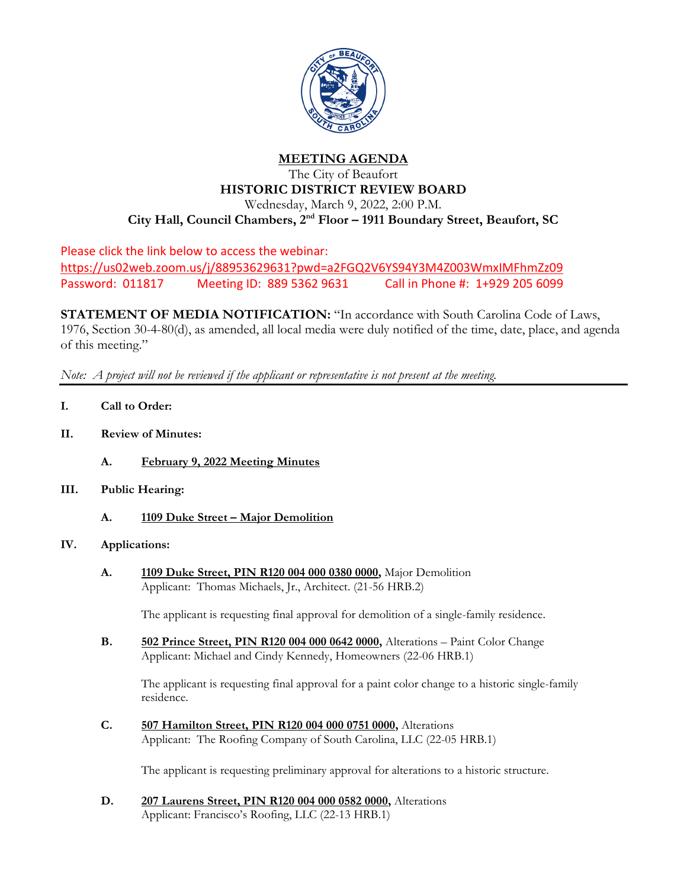

## **MEETING AGENDA**

## The City of Beaufort **HISTORIC DISTRICT REVIEW BOARD**

Wednesday, March 9, 2022, 2:00 P.M.

**City Hall, Council Chambers, 2nd Floor – 1911 Boundary Street, Beaufort, SC**

Please click the link below to access the webinar: <https://us02web.zoom.us/j/88953629631?pwd=a2FGQ2V6YS94Y3M4Z003WmxIMFhmZz09> Password: 011817 Meeting ID: 889 5362 9631 Call in Phone #: 1+929 205 6099

**STATEMENT OF MEDIA NOTIFICATION:** "In accordance with South Carolina Code of Laws, 1976, Section 30-4-80(d), as amended, all local media were duly notified of the time, date, place, and agenda of this meeting."

*Note: A project will not be reviewed if the applicant or representative is not present at the meeting.*

- **I. Call to Order:**
- **II. Review of Minutes:**
	- **A. February 9, 2022 Meeting Minutes**
- **III. Public Hearing:**
	- **A. 1109 Duke Street – Major Demolition**

## **IV. Applications:**

**A. 1109 Duke Street, PIN R120 004 000 0380 0000,** Major Demolition Applicant: Thomas Michaels, Jr., Architect. (21-56 HRB.2)

The applicant is requesting final approval for demolition of a single-family residence.

**B. 502 Prince Street, PIN R120 004 000 0642 0000,** Alterations – Paint Color Change Applicant: Michael and Cindy Kennedy, Homeowners (22-06 HRB.1)

The applicant is requesting final approval for a paint color change to a historic single-family residence.

**C. 507 Hamilton Street, PIN R120 004 000 0751 0000,** Alterations Applicant: The Roofing Company of South Carolina, LLC (22-05 HRB.1)

The applicant is requesting preliminary approval for alterations to a historic structure.

**D. 207 Laurens Street, PIN R120 004 000 0582 0000,** Alterations Applicant: Francisco's Roofing, LLC (22-13 HRB.1)